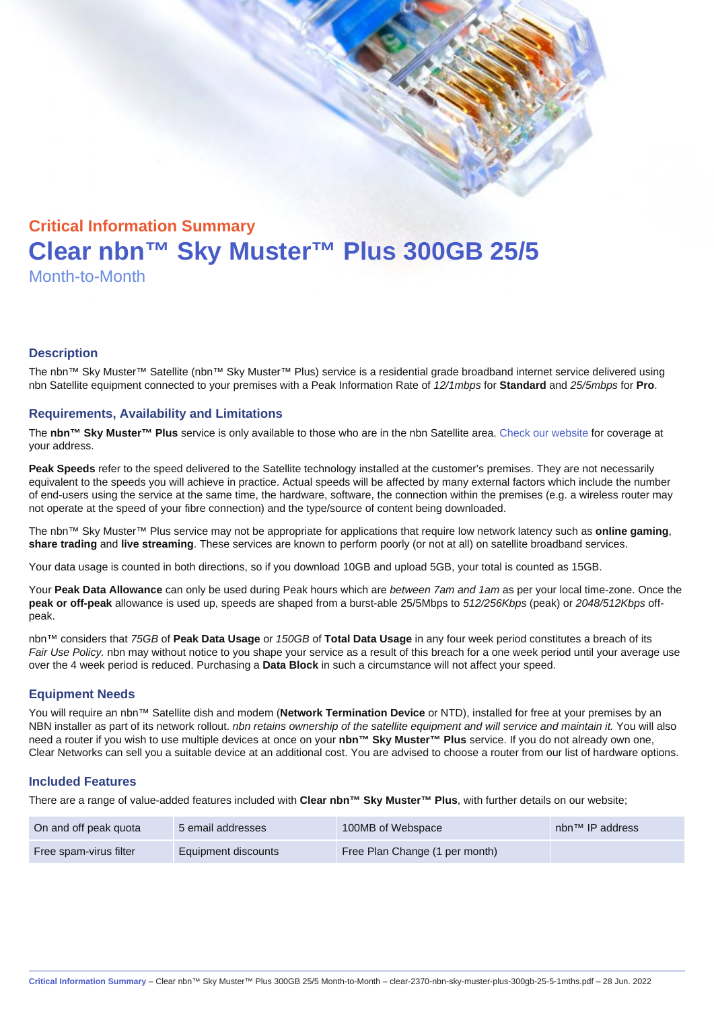# Critical Information Summary Clear nbn™ Sky Muster™ Plus 300GB 25/5 Month-to-Month

#### **Description**

The nbn™ Sky Muster™ Satellite (nbn™ Sky Muster™ Plus) service is a residential grade broadband internet service delivered using nbn Satellite equipment connected to your premises with a Peak Information Rate of 12/1mbps for Standard and 25/5mbps for Pro.

#### Requirements, Availability and Limitations

The nbn™ Sky Muster™ Plus service is only available to those who are in the nbn Satellite area. [Check our website](https://www.clear.com.au/residential/nbn-sky-muster/availability-coverage/) for coverage at your address.

Peak Speeds refer to the speed delivered to the Satellite technology installed at the customer's premises. They are not necessarily equivalent to the speeds you will achieve in practice. Actual speeds will be affected by many external factors which include the number of end-users using the service at the same time, the hardware, software, the connection within the premises (e.g. a wireless router may not operate at the speed of your fibre connection) and the type/source of content being downloaded.

The nbn™ Sky Muster™ Plus service may not be appropriate for applications that require low network latency such as online gaming , share trading and live streaming . These services are known to perform poorly (or not at all) on satellite broadband services.

Your data usage is counted in both directions, so if you download 10GB and upload 5GB, your total is counted as 15GB.

Your Peak Data Allowance can only be used during Peak hours which are between 7am and 1am as per your local time-zone. Once the peak or off-peak allowance is used up, speeds are shaped from a burst-able 25/5Mbps to 512/256Kbps (peak) or 2048/512Kbps offpeak.

nbn™ considers that 75GB of Peak Data Usage or 150GB of Total Data Usage in any four week period constitutes a breach of its Fair Use Policy. nbn may without notice to you shape your service as a result of this breach for a one week period until your average use over the 4 week period is reduced. Purchasing a Data Block in such a circumstance will not affect your speed.

#### Equipment Needs

You will require an nbn™ Satellite dish and modem (Network Termination Device or NTD), installed for free at your premises by an NBN installer as part of its network rollout. nbn retains ownership of the satellite equipment and will service and maintain it. You will also need a router if you wish to use multiple devices at once on your nbn™ Sky Muster™ Plus service. If you do not already own one, Clear Networks can sell you a suitable device at an additional cost. You are advised to choose a router from our list of hardware options.

#### Included Features

There are a range of value-added features included with Clear nbn™ Sky Muster™ Plus , with further details on our website;

| On and off peak quota  | 5 email addresses   | 100MB of Webspace              | nbn <sup>™</sup> IP address |
|------------------------|---------------------|--------------------------------|-----------------------------|
| Free spam-virus filter | Equipment discounts | Free Plan Change (1 per month) |                             |